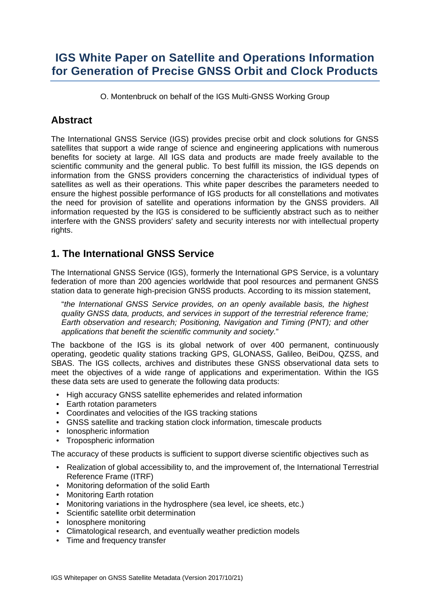# **IGS White Paper on Satellite and Operations Information for Generation of Precise GNSS Orbit and Clock Products**

O. Montenbruck on behalf of the IGS Multi-GNSS Working Group

## **Abstract**

The International GNSS Service (IGS) provides precise orbit and clock solutions for GNSS satellites that support a wide range of science and engineering applications with numerous benefits for society at large. All IGS data and products are made freely available to the scientific community and the general public. To best fulfill its mission, the IGS depends on information from the GNSS providers concerning the characteristics of individual types of satellites as well as their operations. This white paper describes the parameters needed to ensure the highest possible performance of IGS products for all constellations and motivates the need for provision of satellite and operations information by the GNSS providers. All information requested by the IGS is considered to be sufficiently abstract such as to neither interfere with the GNSS providers' safety and security interests nor with intellectual property rights.

## **1. The International GNSS Service**

The International GNSS Service (IGS), formerly the International GPS Service, is a voluntary federation of more than 200 agencies worldwide that pool resources and permanent GNSS station data to generate high-precision GNSS products. According to its mission statement,

"*the International GNSS Service provides, on an openly available basis, the highest quality GNSS data, products, and services in support of the terrestrial reference frame; Earth observation and research; Positioning, Navigation and Timing (PNT); and other applications that benefit the scientific community and society.*"

The backbone of the IGS is its global network of over 400 permanent, continuously operating, geodetic quality stations tracking GPS, GLONASS, Galileo, BeiDou, QZSS, and SBAS. The IGS collects, archives and distributes these GNSS observational data sets to meet the objectives of a wide range of applications and experimentation. Within the IGS these data sets are used to generate the following data products:

- High accuracy GNSS satellite ephemerides and related information
- Earth rotation parameters
- Coordinates and velocities of the IGS tracking stations
- GNSS satellite and tracking station clock information, timescale products
- Ionospheric information
- Tropospheric information

The accuracy of these products is sufficient to support diverse scientific objectives such as

- Realization of global accessibility to, and the improvement of, the International Terrestrial Reference Frame (ITRF)
- Monitoring deformation of the solid Earth
- Monitoring Earth rotation
- Monitoring variations in the hydrosphere (sea level, ice sheets, etc.)
- Scientific satellite orbit determination
- Ionosphere monitoring
- Climatological research, and eventually weather prediction models
- Time and frequency transfer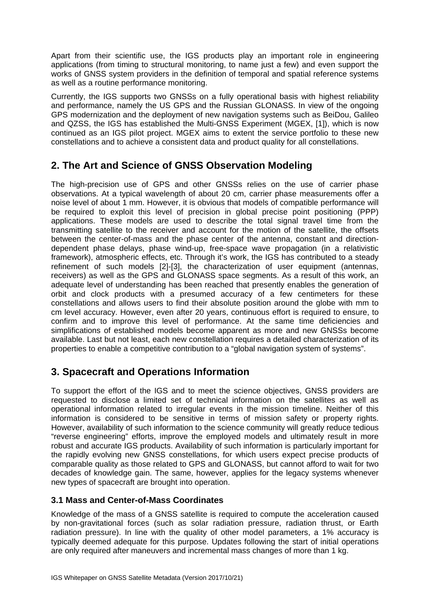Apart from their scientific use, the IGS products play an important role in engineering applications (from timing to structural monitoring, to name just a few) and even support the works of GNSS system providers in the definition of temporal and spatial reference systems as well as a routine performance monitoring.

Currently, the IGS supports two GNSSs on a fully operational basis with highest reliability and performance, namely the US GPS and the Russian GLONASS. In view of the ongoing GPS modernization and the deployment of new navigation systems such as BeiDou, Galileo and QZSS, the IGS has established the Multi-GNSS Experiment (MGEX, [\[1\]\)](#page-3-0), which is now continued as an IGS pilot project. MGEX aims to extent the service portfolio to these new constellations and to achieve a consistent data and product quality for all constellations.

## **2. The Art and Science of GNSS Observation Modeling**

The high-precision use of GPS and other GNSSs relies on the use of carrier phase observations. At a typical wavelength of about 20 cm, carrier phase measurements offer a noise level of about 1 mm. However, it is obvious that models of compatible performance will be required to exploit this level of precision in global precise point positioning (PPP) applications. These models are used to describe the total signal travel time from the transmitting satellite to the receiver and account for the motion of the satellite, the offsets between the center-of-mass and the phase center of the antenna, constant and directiondependent phase delays, phase wind-up, free-space wave propagation (in a relativistic framework), atmospheric effects, etc. Through it's work, the IGS has contributed to a steady refinement of such models [\[2\]](#page-3-1)[-\[3\],](#page-3-2) the characterization of user equipment (antennas, receivers) as well as the GPS and GLONASS space segments. As a result of this work, an adequate level of understanding has been reached that presently enables the generation of orbit and clock products with a presumed accuracy of a few centimeters for these constellations and allows users to find their absolute position around the globe with mm to cm level accuracy. However, even after 20 years, continuous effort is required to ensure, to confirm and to improve this level of performance. At the same time deficiencies and simplifications of established models become apparent as more and new GNSSs become available. Last but not least, each new constellation requires a detailed characterization of its properties to enable a competitive contribution to a "global navigation system of systems".

## **3. Spacecraft and Operations Information**

To support the effort of the IGS and to meet the science objectives, GNSS providers are requested to disclose a limited set of technical information on the satellites as well as operational information related to irregular events in the mission timeline. Neither of this information is considered to be sensitive in terms of mission safety or property rights. However, availability of such information to the science community will greatly reduce tedious "reverse engineering" efforts, improve the employed models and ultimately result in more robust and accurate IGS products. Availability of such information is particularly important for the rapidly evolving new GNSS constellations, for which users expect precise products of comparable quality as those related to GPS and GLONASS, but cannot afford to wait for two decades of knowledge gain. The same, however, applies for the legacy systems whenever new types of spacecraft are brought into operation.

### **3.1 Mass and Center-of-Mass Coordinates**

Knowledge of the mass of a GNSS satellite is required to compute the acceleration caused by non-gravitational forces (such as solar radiation pressure, radiation thrust, or Earth radiation pressure). In line with the quality of other model parameters, a 1% accuracy is typically deemed adequate for this purpose. Updates following the start of initial operations are only required after maneuvers and incremental mass changes of more than 1 kg.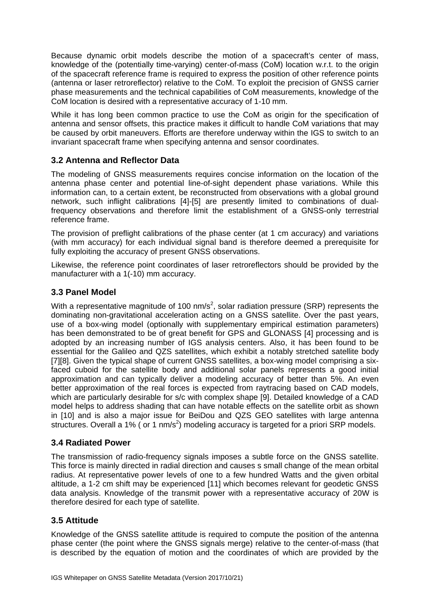Because dynamic orbit models describe the motion of a spacecraft's center of mass, knowledge of the (potentially time-varying) center-of-mass (CoM) location w.r.t. to the origin of the spacecraft reference frame is required to express the position of other reference points (antenna or laser retroreflector) relative to the CoM. To exploit the precision of GNSS carrier phase measurements and the technical capabilities of CoM measurements, knowledge of the CoM location is desired with a representative accuracy of 1-10 mm.

While it has long been common practice to use the CoM as origin for the specification of antenna and sensor offsets, this practice makes it difficult to handle CoM variations that may be caused by orbit maneuvers. Efforts are therefore underway within the IGS to switch to an invariant spacecraft frame when specifying antenna and sensor coordinates.

### **3.2 Antenna and Reflector Data**

The modeling of GNSS measurements requires concise information on the location of the antenna phase center and potential line-of-sight dependent phase variations. While this information can, to a certain extent, be reconstructed from observations with a global ground network, such inflight calibrations [\[4\]](#page-3-3)[-\[5\]](#page-3-4) are presently limited to combinations of dualfrequency observations and therefore limit the establishment of a GNSS-only terrestrial reference frame.

The provision of preflight calibrations of the phase center (at 1 cm accuracy) and variations (with mm accuracy) for each individual signal band is therefore deemed a prerequisite for fully exploiting the accuracy of present GNSS observations.

Likewise, the reference point coordinates of laser retroreflectors should be provided by the manufacturer with a 1(-10) mm accuracy.

### **3.3 Panel Model**

With a representative magnitude of 100 nm/s<sup>2</sup>, solar radiation pressure (SRP) represents the dominating non-gravitational acceleration acting on a GNSS satellite. Over the past years, use of a box-wing model (optionally with supplementary empirical estimation parameters) has been demonstrated to be of great benefit for GPS and GLONASS [\[4\]](#page-3-3) processing and is adopted by an increasing number of IGS analysis centers. Also, it has been found to be essential for the Galileo and QZS satellites, which exhibit a notably stretched satellite body [\[7\]\[8\].](#page-3-5) Given the typical shape of current GNSS satellites, a box-wing model comprising a sixfaced cuboid for the satellite body and additional solar panels represents a good initial approximation and can typically deliver a modeling accuracy of better than 5%. An even better approximation of the real forces is expected from raytracing based on CAD models, which are particularly desirable for s/c with complex shape [\[9\].](#page-4-0) Detailed knowledge of a CAD model helps to address shading that can have notable effects on the satellite orbit as shown in [\[10\]](#page-4-1) and is also a major issue for BeiDou and QZS GEO satellites with large antenna structures. Overall a 1% ( or 1 nm/s<sup>2</sup>) modeling accuracy is targeted for a priori SRP models.

#### **3.4 Radiated Power**

The transmission of radio-frequency signals imposes a subtle force on the GNSS satellite. This force is mainly directed in radial direction and causes s small change of the mean orbital radius. At representative power levels of one to a few hundred Watts and the given orbital altitude, a 1-2 cm shift may be experienced [\[11\]](#page-4-2) which becomes relevant for geodetic GNSS data analysis. Knowledge of the transmit power with a representative accuracy of 20W is therefore desired for each type of satellite.

#### **3.5 Attitude**

Knowledge of the GNSS satellite attitude is required to compute the position of the antenna phase center (the point where the GNSS signals merge) relative to the center-of-mass (that is described by the equation of motion and the coordinates of which are provided by the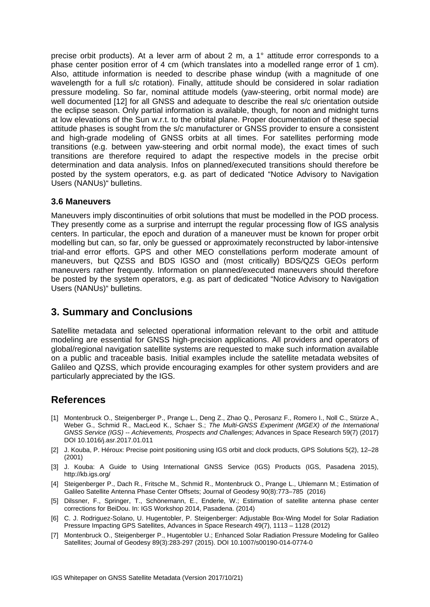precise orbit products). At a lever arm of about 2 m, a 1° attitude error corresponds to a phase center position error of 4 cm (which translates into a modelled range error of 1 cm). Also, attitude information is needed to describe phase windup (with a magnitude of one wavelength for a full s/c rotation). Finally, attitude should be considered in solar radiation pressure modeling. So far, nominal attitude models (yaw-steering, orbit normal mode) are well documented [\[12\]](#page-4-3) for all GNSS and adequate to describe the real s/c orientation outside the eclipse season. Only partial information is available, though, for noon and midnight turns at low elevations of the Sun w.r.t. to the orbital plane. Proper documentation of these special attitude phases is sought from the s/c manufacturer or GNSS provider to ensure a consistent and high-grade modeling of GNSS orbits at all times. For satellites performing mode transitions (e.g. between yaw-steering and orbit normal mode), the exact times of such transitions are therefore required to adapt the respective models in the precise orbit determination and data analysis. Infos on planned/executed transitions should therefore be posted by the system operators, e.g. as part of dedicated "Notice Advisory to Navigation Users (NANUs)" bulletins.

#### **3.6 Maneuvers**

Maneuvers imply discontinuities of orbit solutions that must be modelled in the POD process. They presently come as a surprise and interrupt the regular processing flow of IGS analysis centers. In particular, the epoch and duration of a maneuver must be known for proper orbit modelling but can, so far, only be guessed or approximately reconstructed by labor-intensive trial-and error efforts. GPS and other MEO constellations perform moderate amount of maneuvers, but QZSS and BDS IGSO and (most critically) BDS/QZS GEOs perform maneuvers rather frequently. Information on planned/executed maneuvers should therefore be posted by the system operators, e.g. as part of dedicated "Notice Advisory to Navigation Users (NANUs)" bulletins.

### **3. Summary and Conclusions**

Satellite metadata and selected operational information relevant to the orbit and attitude modeling are essential for GNSS high-precision applications. All providers and operators of global/regional navigation satellite systems are requested to make such information available on a public and traceable basis. Initial examples include the satellite metadata websites of Galileo and QZSS, which provide encouraging examples for other system providers and are particularly appreciated by the IGS.

### **References**

- <span id="page-3-0"></span>[1] Montenbruck O., Steigenberger P., Prange L., Deng Z., Zhao Q., Perosanz F., Romero I., Noll C., Stürze A., Weber G., Schmid R., MacLeod K., Schaer S.; *The Multi-GNSS Experiment (MGEX) of the International GNSS Service (IGS) -- Achievements, Prospects and Challenges*; Advances in Space Research 59(7) (2017) DOI 10.1016/j.asr.2017.01.011
- <span id="page-3-1"></span>[2] J. Kouba, P. Héroux: Precise point positioning using IGS orbit and clock products, GPS Solutions 5(2), 12–28 (2001)
- <span id="page-3-2"></span>[3] J. Kouba: A Guide to Using International GNSS Service (IGS) Products (IGS, Pasadena 2015), http://kb.igs.org/
- <span id="page-3-3"></span>[4] Steigenberger P., Dach R., Fritsche M., Schmid R., Montenbruck O., Prange L., Uhlemann M.; Estimation of Galileo Satellite Antenna Phase Center Offsets; Journal of Geodesy 90(8):773–785 (2016)
- <span id="page-3-4"></span>[5] Dilssner, F., Springer, T., Schönemann, E., Enderle, W.; Estimation of satellite antenna phase center corrections for BeiDou. In: IGS Workshop 2014, Pasadena. (2014)
- [6] C. J. Rodriguez-Solano, U. Hugentobler, P. Steigenberger: Adjustable Box-Wing Model for Solar Radiation Pressure Impacting GPS Satellites, Advances in Space Research 49(7), 1113 – 1128 (2012)
- <span id="page-3-5"></span>[7] Montenbruck O., Steigenberger P., Hugentobler U.; Enhanced Solar Radiation Pressure Modeling for Galileo Satellites; Journal of Geodesy 89(3):283-297 (2015). DOI 10.1007/s00190-014-0774-0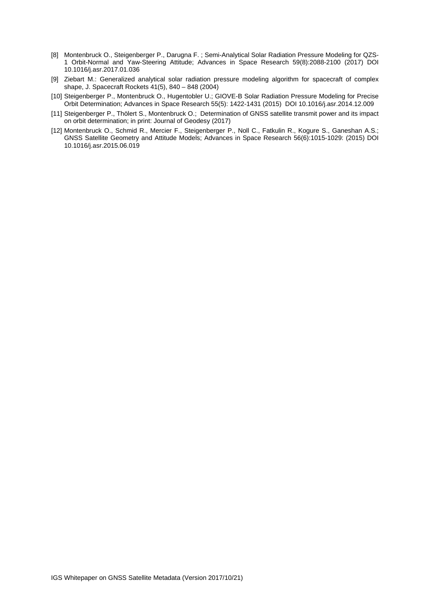- [8] Montenbruck O., Steigenberger P., Darugna F. ; Semi-Analytical Solar Radiation Pressure Modeling for QZS-1 Orbit-Normal and Yaw-Steering Attitude; Advances in Space Research 59(8):2088-2100 (2017) DOI 10.1016/j.asr.2017.01.036
- <span id="page-4-0"></span>[9] Ziebart M.: Generalized analytical solar radiation pressure modeling algorithm for spacecraft of complex shape, J. Spacecraft Rockets 41(5), 840 – 848 (2004)
- <span id="page-4-1"></span>[10] Steigenberger P., Montenbruck O., Hugentobler U.; GIOVE-B Solar Radiation Pressure Modeling for Precise Orbit Determination; Advances in Space Research 55(5): 1422-1431 (2015) DOI 10.1016/j.asr.2014.12.009
- <span id="page-4-2"></span>[11] Steigenberger P., Thölert S., Montenbruck O.; Determination of GNSS satellite transmit power and its impact on orbit determination; in print: Journal of Geodesy (2017)
- <span id="page-4-3"></span>[12] Montenbruck O., Schmid R., Mercier F., Steigenberger P., Noll C., Fatkulin R., Kogure S., Ganeshan A.S.; GNSS Satellite Geometry and Attitude Models; Advances in Space Research 56(6):1015-1029: (2015) DOI 10.1016/j.asr.2015.06.019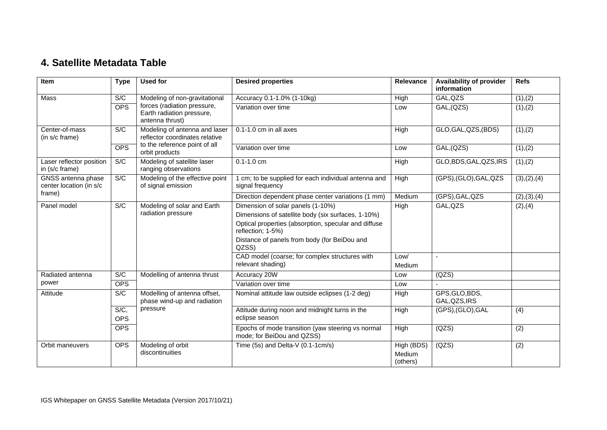# **4. Satellite Metadata Table**

| Item                                                    | <b>Type</b>           | <b>Used for</b>                                                                                                    | <b>Desired properties</b>                                                       | <b>Relevance</b>                 | <b>Availability of provider</b><br>information | <b>Refs</b>      |
|---------------------------------------------------------|-----------------------|--------------------------------------------------------------------------------------------------------------------|---------------------------------------------------------------------------------|----------------------------------|------------------------------------------------|------------------|
| <b>Mass</b>                                             | S/C                   | Modeling of non-gravitational<br>forces (radiation pressure,<br>Earth radiation pressure,<br>antenna thrust)       | Accuracy 0.1-1.0% (1-10kg)                                                      | High                             | GAL, QZS                                       | (1), (2)         |
|                                                         | <b>OPS</b>            |                                                                                                                    | Variation over time                                                             | Low                              | GAL, (QZS)                                     | (1), (2)         |
| Center-of-mass<br>(in s/c frame)                        | S/C                   | Modeling of antenna and laser<br>reflector coordinates relative<br>to the reference point of all<br>orbit products | $0.1 - 1.0$ cm in all axes                                                      | High                             | GLO, GAL, QZS, (BDS)                           | (1), (2)         |
|                                                         | <b>OPS</b>            |                                                                                                                    | Variation over time                                                             | Low                              | GAL, (QZS)                                     | (1), (2)         |
| Laser reflector position<br>in (s/c frame)              | S/C                   | Modeling of satellite laser<br>ranging observations                                                                | $0.1 - 1.0$ cm                                                                  | High                             | GLO, BDS, GAL, QZS, IRS                        | (1), (2)         |
| GNSS antenna phase<br>center location (in s/c<br>frame) | S/C                   | Modeling of the effective point<br>of signal emission                                                              | 1 cm; to be supplied for each individual antenna and<br>signal frequency        | High                             | (GPS), (GLO), GAL, QZS                         | (3), (2), (4)    |
|                                                         |                       |                                                                                                                    | Direction dependent phase center variations (1 mm)                              | Medium                           | (GPS), GAL, QZS                                | (2), (3), (4)    |
| Panel model                                             | S/C                   | Modeling of solar and Earth<br>radiation pressure                                                                  | Dimension of solar panels (1-10%)                                               | High                             | GAL, QZS                                       | (2), (4)         |
|                                                         |                       |                                                                                                                    | Dimensions of satellite body (six surfaces, 1-10%)                              |                                  |                                                |                  |
|                                                         |                       |                                                                                                                    | Optical properties (absorption, specular and diffuse<br>reflection; 1-5%)       |                                  |                                                |                  |
|                                                         |                       |                                                                                                                    | Distance of panels from body (for BeiDou and<br>QZSS)                           |                                  |                                                |                  |
|                                                         |                       |                                                                                                                    | CAD model (coarse; for complex structures with<br>relevant shading)             | Low/<br>Medium                   | $\sim$                                         |                  |
| Radiated antenna                                        | S/C                   | Modelling of antenna thrust                                                                                        | Accuracy 20W                                                                    | Low                              | (QZS)                                          |                  |
| power                                                   | <b>OPS</b>            |                                                                                                                    | Variation over time                                                             | Low                              |                                                |                  |
| Attitude                                                | S/C                   | Modelling of antenna offset,<br>phase wind-up and radiation<br>pressure                                            | Nominal attitude law outside eclipses (1-2 deg)                                 | High                             | GPS, GLO, BDS,<br>GAL, QZS, IRS                |                  |
|                                                         | $S/C$ ,<br><b>OPS</b> |                                                                                                                    | Attitude during noon and midnight turns in the<br>eclipse season                | High                             | (GPS),(GLO),GAL                                | (4)              |
|                                                         | <b>OPS</b>            |                                                                                                                    | Epochs of mode transition (yaw steering vs normal<br>mode; for BeiDou and QZSS) | High                             | (QZS)                                          | $\overline{(2)}$ |
| Orbit maneuvers                                         | <b>OPS</b>            | Modeling of orbit<br>discontinuities                                                                               | Time (5s) and Delta-V (0.1-1cm/s)                                               | High (BDS)<br>Medium<br>(others) | (QZS)                                          | $\overline{(2)}$ |